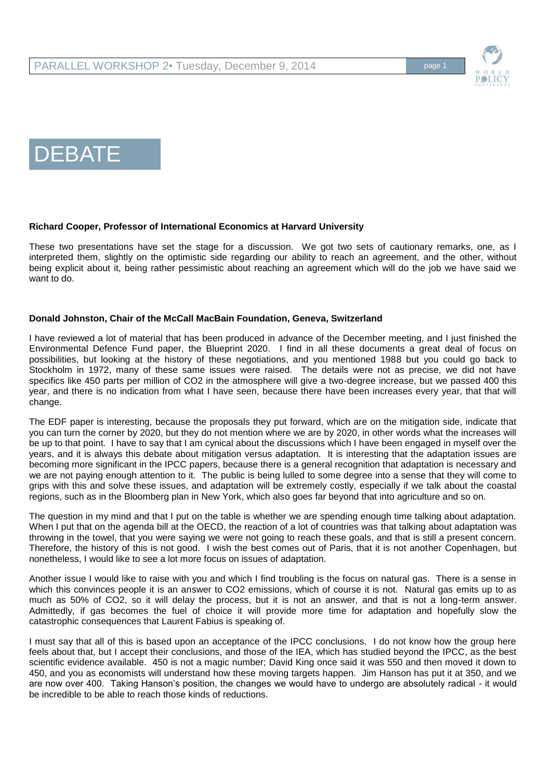

# DEBATE

#### **Richard Cooper, Professor of International Economics at Harvard University**

These two presentations have set the stage for a discussion. We got two sets of cautionary remarks, one, as I interpreted them, slightly on the optimistic side regarding our ability to reach an agreement, and the other, without being explicit about it, being rather pessimistic about reaching an agreement which will do the job we have said we want to do.

#### **Donald Johnston, Chair of the McCall MacBain Foundation, Geneva, Switzerland**

I have reviewed a lot of material that has been produced in advance of the December meeting, and I just finished the Environmental Defence Fund paper, the Blueprint 2020. I find in all these documents a great deal of focus on possibilities, but looking at the history of these negotiations, and you mentioned 1988 but you could go back to Stockholm in 1972, many of these same issues were raised. The details were not as precise, we did not have specifics like 450 parts per million of CO2 in the atmosphere will give a two-degree increase, but we passed 400 this year, and there is no indication from what I have seen, because there have been increases every year, that that will change.

The EDF paper is interesting, because the proposals they put forward, which are on the mitigation side, indicate that you can turn the corner by 2020, but they do not mention where we are by 2020, in other words what the increases will be up to that point. I have to say that I am cynical about the discussions which I have been engaged in myself over the years, and it is always this debate about mitigation versus adaptation. It is interesting that the adaptation issues are becoming more significant in the IPCC papers, because there is a general recognition that adaptation is necessary and we are not paying enough attention to it. The public is being lulled to some degree into a sense that they will come to grips with this and solve these issues, and adaptation will be extremely costly, especially if we talk about the coastal regions, such as in the Bloomberg plan in New York, which also goes far beyond that into agriculture and so on.

The question in my mind and that I put on the table is whether we are spending enough time talking about adaptation. When I put that on the agenda bill at the OECD, the reaction of a lot of countries was that talking about adaptation was throwing in the towel, that you were saying we were not going to reach these goals, and that is still a present concern. Therefore, the history of this is not good. I wish the best comes out of Paris, that it is not another Copenhagen, but nonetheless, I would like to see a lot more focus on issues of adaptation.

Another issue I would like to raise with you and which I find troubling is the focus on natural gas. There is a sense in which this convinces people it is an answer to CO2 emissions, which of course it is not. Natural gas emits up to as much as 50% of CO2, so it will delay the process, but it is not an answer, and that is not a long-term answer. Admittedly, if gas becomes the fuel of choice it will provide more time for adaptation and hopefully slow the catastrophic consequences that Laurent Fabius is speaking of.

I must say that all of this is based upon an acceptance of the IPCC conclusions. I do not know how the group here feels about that, but I accept their conclusions, and those of the IEA, which has studied beyond the IPCC, as the best scientific evidence available. 450 is not a magic number; David King once said it was 550 and then moved it down to 450, and you as economists will understand how these moving targets happen. Jim Hanson has put it at 350, and we are now over 400. Taking Hanson's position, the changes we would have to undergo are absolutely radical - it would be incredible to be able to reach those kinds of reductions.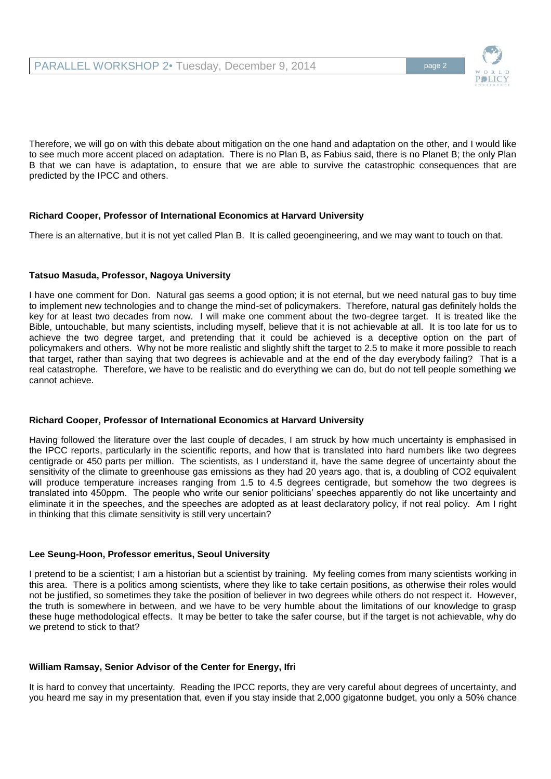

Therefore, we will go on with this debate about mitigation on the one hand and adaptation on the other, and I would like to see much more accent placed on adaptation. There is no Plan B, as Fabius said, there is no Planet B; the only Plan B that we can have is adaptation, to ensure that we are able to survive the catastrophic consequences that are predicted by the IPCC and others.

## **Richard Cooper, Professor of International Economics at Harvard University**

There is an alternative, but it is not yet called Plan B. It is called geoengineering, and we may want to touch on that.

## **Tatsuo Masuda, Professor, Nagoya University**

I have one comment for Don. Natural gas seems a good option; it is not eternal, but we need natural gas to buy time to implement new technologies and to change the mind-set of policymakers. Therefore, natural gas definitely holds the key for at least two decades from now. I will make one comment about the two-degree target. It is treated like the Bible, untouchable, but many scientists, including myself, believe that it is not achievable at all. It is too late for us to achieve the two degree target, and pretending that it could be achieved is a deceptive option on the part of policymakers and others. Why not be more realistic and slightly shift the target to 2.5 to make it more possible to reach that target, rather than saying that two degrees is achievable and at the end of the day everybody failing? That is a real catastrophe. Therefore, we have to be realistic and do everything we can do, but do not tell people something we cannot achieve.

## **Richard Cooper, Professor of International Economics at Harvard University**

Having followed the literature over the last couple of decades, I am struck by how much uncertainty is emphasised in the IPCC reports, particularly in the scientific reports, and how that is translated into hard numbers like two degrees centigrade or 450 parts per million. The scientists, as I understand it, have the same degree of uncertainty about the sensitivity of the climate to greenhouse gas emissions as they had 20 years ago, that is, a doubling of CO2 equivalent will produce temperature increases ranging from 1.5 to 4.5 degrees centigrade, but somehow the two degrees is translated into 450ppm. The people who write our senior politicians' speeches apparently do not like uncertainty and eliminate it in the speeches, and the speeches are adopted as at least declaratory policy, if not real policy. Am I right in thinking that this climate sensitivity is still very uncertain?

## **Lee Seung-Hoon, Professor emeritus, Seoul University**

I pretend to be a scientist; I am a historian but a scientist by training. My feeling comes from many scientists working in this area. There is a politics among scientists, where they like to take certain positions, as otherwise their roles would not be justified, so sometimes they take the position of believer in two degrees while others do not respect it. However, the truth is somewhere in between, and we have to be very humble about the limitations of our knowledge to grasp these huge methodological effects. It may be better to take the safer course, but if the target is not achievable, why do we pretend to stick to that?

## **William Ramsay, Senior Advisor of the Center for Energy, Ifri**

It is hard to convey that uncertainty. Reading the IPCC reports, they are very careful about degrees of uncertainty, and you heard me say in my presentation that, even if you stay inside that 2,000 gigatonne budget, you only a 50% chance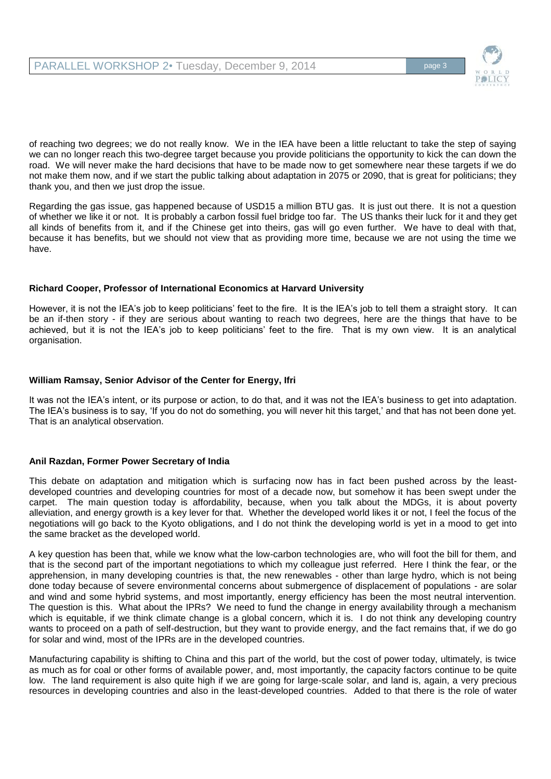

of reaching two degrees; we do not really know. We in the IEA have been a little reluctant to take the step of saying we can no longer reach this two-degree target because you provide politicians the opportunity to kick the can down the road. We will never make the hard decisions that have to be made now to get somewhere near these targets if we do not make them now, and if we start the public talking about adaptation in 2075 or 2090, that is great for politicians; they thank you, and then we just drop the issue.

Regarding the gas issue, gas happened because of USD15 a million BTU gas. It is just out there. It is not a question of whether we like it or not. It is probably a carbon fossil fuel bridge too far. The US thanks their luck for it and they get all kinds of benefits from it, and if the Chinese get into theirs, gas will go even further. We have to deal with that, because it has benefits, but we should not view that as providing more time, because we are not using the time we have.

## **Richard Cooper, Professor of International Economics at Harvard University**

However, it is not the IEA's job to keep politicians' feet to the fire. It is the IEA's job to tell them a straight story. It can be an if-then story - if they are serious about wanting to reach two degrees, here are the things that have to be achieved, but it is not the IEA's job to keep politicians' feet to the fire. That is my own view. It is an analytical organisation.

## **William Ramsay, Senior Advisor of the Center for Energy, Ifri**

It was not the IEA's intent, or its purpose or action, to do that, and it was not the IEA's business to get into adaptation. The IEA's business is to say, 'If you do not do something, you will never hit this target,' and that has not been done yet. That is an analytical observation.

## **Anil Razdan, Former Power Secretary of India**

This debate on adaptation and mitigation which is surfacing now has in fact been pushed across by the leastdeveloped countries and developing countries for most of a decade now, but somehow it has been swept under the carpet. The main question today is affordability, because, when you talk about the MDGs, it is about poverty alleviation, and energy growth is a key lever for that. Whether the developed world likes it or not, I feel the focus of the negotiations will go back to the Kyoto obligations, and I do not think the developing world is yet in a mood to get into the same bracket as the developed world.

A key question has been that, while we know what the low-carbon technologies are, who will foot the bill for them, and that is the second part of the important negotiations to which my colleague just referred. Here I think the fear, or the apprehension, in many developing countries is that, the new renewables - other than large hydro, which is not being done today because of severe environmental concerns about submergence of displacement of populations - are solar and wind and some hybrid systems, and most importantly, energy efficiency has been the most neutral intervention. The question is this. What about the IPRs? We need to fund the change in energy availability through a mechanism which is equitable, if we think climate change is a global concern, which it is. I do not think any developing country wants to proceed on a path of self-destruction, but they want to provide energy, and the fact remains that, if we do go for solar and wind, most of the IPRs are in the developed countries.

Manufacturing capability is shifting to China and this part of the world, but the cost of power today, ultimately, is twice as much as for coal or other forms of available power, and, most importantly, the capacity factors continue to be quite low. The land requirement is also quite high if we are going for large-scale solar, and land is, again, a very precious resources in developing countries and also in the least-developed countries. Added to that there is the role of water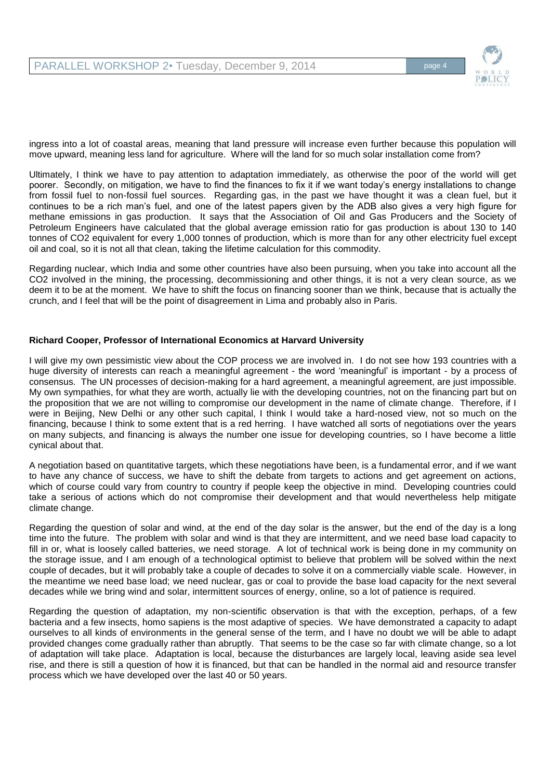

ingress into a lot of coastal areas, meaning that land pressure will increase even further because this population will move upward, meaning less land for agriculture. Where will the land for so much solar installation come from?

Ultimately, I think we have to pay attention to adaptation immediately, as otherwise the poor of the world will get poorer. Secondly, on mitigation, we have to find the finances to fix it if we want today's energy installations to change from fossil fuel to non-fossil fuel sources. Regarding gas, in the past we have thought it was a clean fuel, but it continues to be a rich man's fuel, and one of the latest papers given by the ADB also gives a very high figure for methane emissions in gas production. It says that the Association of Oil and Gas Producers and the Society of Petroleum Engineers have calculated that the global average emission ratio for gas production is about 130 to 140 tonnes of CO2 equivalent for every 1,000 tonnes of production, which is more than for any other electricity fuel except oil and coal, so it is not all that clean, taking the lifetime calculation for this commodity.

Regarding nuclear, which India and some other countries have also been pursuing, when you take into account all the CO2 involved in the mining, the processing, decommissioning and other things, it is not a very clean source, as we deem it to be at the moment. We have to shift the focus on financing sooner than we think, because that is actually the crunch, and I feel that will be the point of disagreement in Lima and probably also in Paris.

#### **Richard Cooper, Professor of International Economics at Harvard University**

I will give my own pessimistic view about the COP process we are involved in. I do not see how 193 countries with a huge diversity of interests can reach a meaningful agreement - the word 'meaningful' is important - by a process of consensus. The UN processes of decision-making for a hard agreement, a meaningful agreement, are just impossible. My own sympathies, for what they are worth, actually lie with the developing countries, not on the financing part but on the proposition that we are not willing to compromise our development in the name of climate change. Therefore, if I were in Beijing, New Delhi or any other such capital, I think I would take a hard-nosed view, not so much on the financing, because I think to some extent that is a red herring. I have watched all sorts of negotiations over the years on many subjects, and financing is always the number one issue for developing countries, so I have become a little cynical about that.

A negotiation based on quantitative targets, which these negotiations have been, is a fundamental error, and if we want to have any chance of success, we have to shift the debate from targets to actions and get agreement on actions, which of course could vary from country to country if people keep the objective in mind. Developing countries could take a serious of actions which do not compromise their development and that would nevertheless help mitigate climate change.

Regarding the question of solar and wind, at the end of the day solar is the answer, but the end of the day is a long time into the future. The problem with solar and wind is that they are intermittent, and we need base load capacity to fill in or, what is loosely called batteries, we need storage. A lot of technical work is being done in my community on the storage issue, and I am enough of a technological optimist to believe that problem will be solved within the next couple of decades, but it will probably take a couple of decades to solve it on a commercially viable scale. However, in the meantime we need base load; we need nuclear, gas or coal to provide the base load capacity for the next several decades while we bring wind and solar, intermittent sources of energy, online, so a lot of patience is required.

Regarding the question of adaptation, my non-scientific observation is that with the exception, perhaps, of a few bacteria and a few insects, homo sapiens is the most adaptive of species. We have demonstrated a capacity to adapt ourselves to all kinds of environments in the general sense of the term, and I have no doubt we will be able to adapt provided changes come gradually rather than abruptly. That seems to be the case so far with climate change, so a lot of adaptation will take place. Adaptation is local, because the disturbances are largely local, leaving aside sea level rise, and there is still a question of how it is financed, but that can be handled in the normal aid and resource transfer process which we have developed over the last 40 or 50 years.